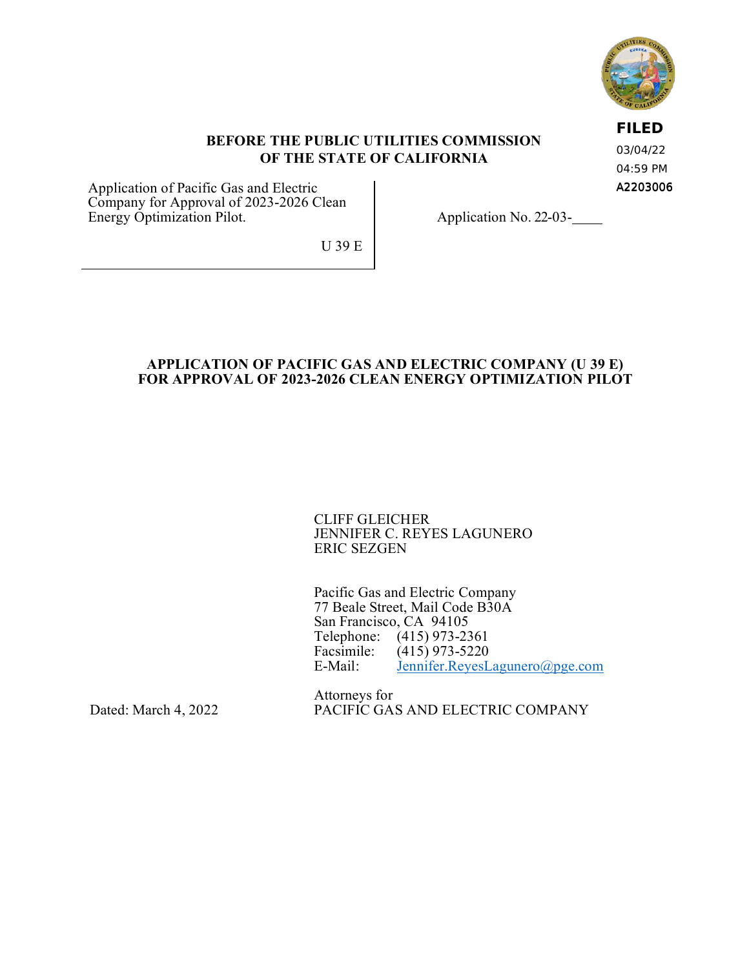

## **BEFORE THE PUBLIC UTILITIES COMMISSION OF THE STATE OF CALIFORNIA**

A2203006 03/04/22 04:59 PM

**FILED**

Application of Pacific Gas and Electric Company for Approval of 2023-2026 Clean Energy Optimization Pilot.

Application No. 22-03-

U 39 E

## **APPLICATION OF PACIFIC GAS AND ELECTRIC COMPANY (U 39 E) FOR APPROVAL OF 2023-2026 CLEAN ENERGY OPTIMIZATION PILOT**

CLIFF GLEICHER JENNIFER C. REYES LAGUNERO ERIC SEZGEN

Pacific Gas and Electric Company 77 Beale Street, Mail Code B30A San Francisco, CA 94105 Telephone: (415) 973-2361<br>Facsimile: (415) 973-5220 Facsimile: (415) 973-5220<br>E-Mail: Jennifer.RevesL [Jennifer.ReyesLagunero@pge.com](mailto:Jennifer.ReyesLagunero@pge.com)

Attorneys for PACIFIC GAS AND ELECTRIC COMPANY

Dated: March 4, 2022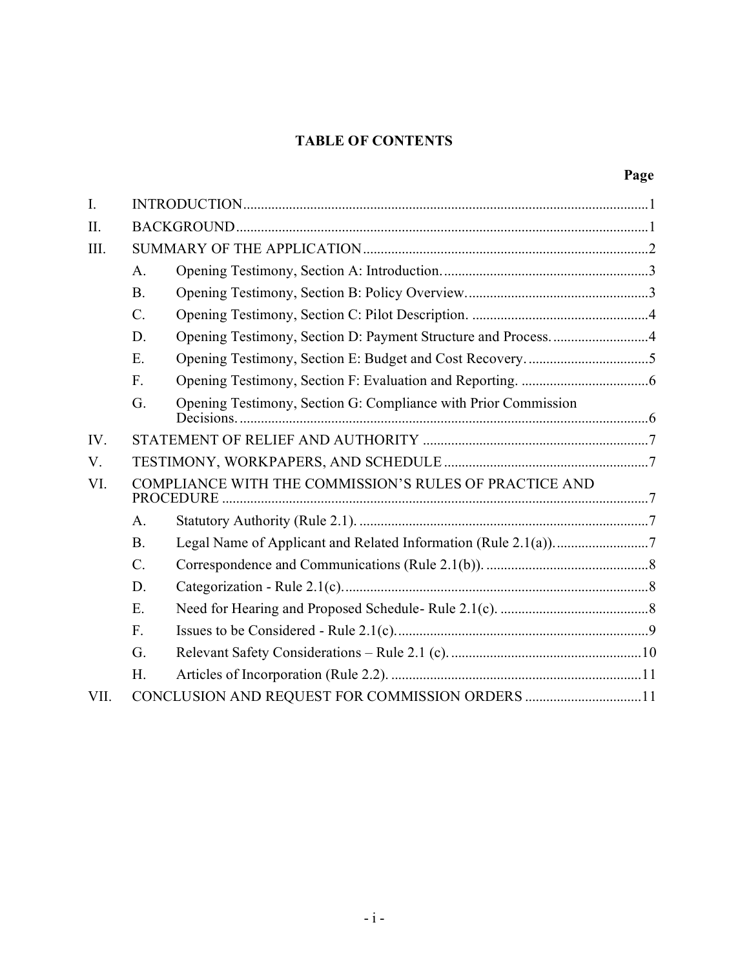## **TABLE OF CONTENTS**

# **Page**

| I.   |                                                        |                                                                |  |
|------|--------------------------------------------------------|----------------------------------------------------------------|--|
| II.  |                                                        |                                                                |  |
| III. |                                                        |                                                                |  |
|      | A.                                                     |                                                                |  |
|      | <b>B.</b>                                              |                                                                |  |
|      | $C$ .                                                  |                                                                |  |
|      | D.                                                     | Opening Testimony, Section D: Payment Structure and Process4   |  |
|      | E.                                                     |                                                                |  |
|      | F.                                                     |                                                                |  |
|      | G.                                                     | Opening Testimony, Section G: Compliance with Prior Commission |  |
| IV.  |                                                        |                                                                |  |
| V.   |                                                        |                                                                |  |
| VI.  | COMPLIANCE WITH THE COMMISSION'S RULES OF PRACTICE AND |                                                                |  |
|      | A.                                                     |                                                                |  |
|      | <b>B.</b>                                              |                                                                |  |
|      | $C$ .                                                  |                                                                |  |
|      | D.                                                     |                                                                |  |
|      | E.                                                     |                                                                |  |
|      | F.                                                     |                                                                |  |
|      | G.                                                     |                                                                |  |
|      | H.                                                     |                                                                |  |
| VII. | CONCLUSION AND REQUEST FOR COMMISSION ORDERS 11        |                                                                |  |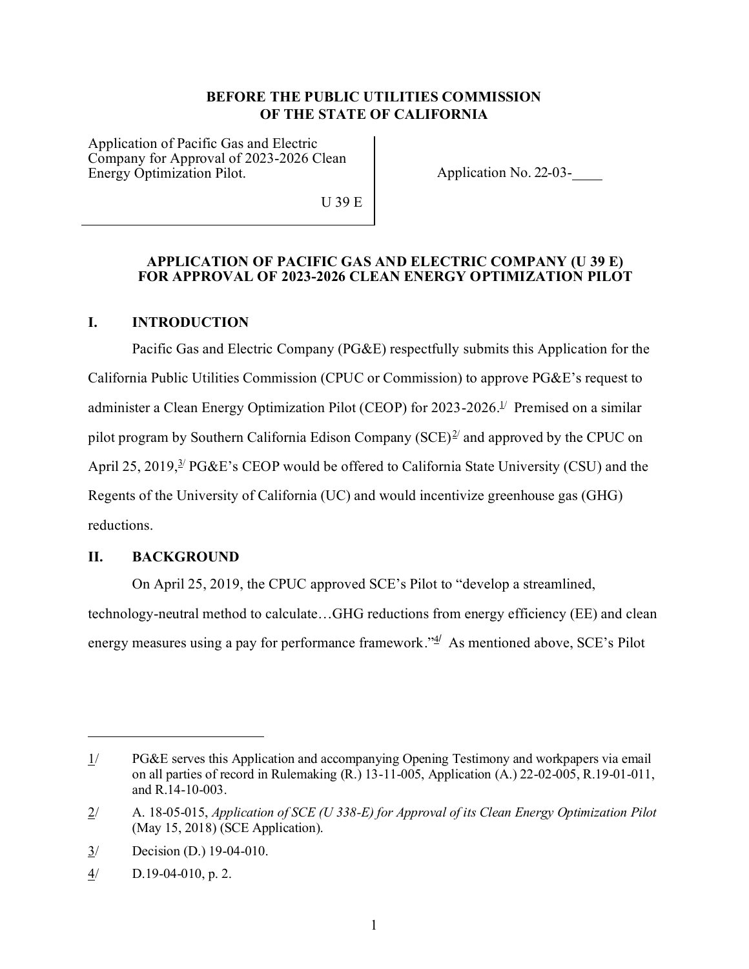## **BEFORE THE PUBLIC UTILITIES COMMISSION OF THE STATE OF CALIFORNIA**

Application of Pacific Gas and Electric Company for Approval of 2023-2026 Clean Energy Optimization Pilot.

Application No. 22-03-

U 39 E

#### **APPLICATION OF PACIFIC GAS AND ELECTRIC COMPANY (U 39 E) FOR APPROVAL OF 2023-2026 CLEAN ENERGY OPTIMIZATION PILOT**

## <span id="page-2-0"></span>**I. INTRODUCTION**

Pacific Gas and Electric Company (PG&E) respectfully submits this Application for the California Public Utilities Commission (CPUC or Commission) to approve PG&E's request to administer a Clean Energy Optimization Pilot (CEOP) for 2023-2026.<sup>1/</sup> Premised on a similar pilot program by Southern California Edison Company  $(SCE)^{2/2}$  and approved by the CPUC on April 25, 2019, $\frac{3}{2}$  PG&E's CEOP would be offered to California State University (CSU) and the Regents of the University of California (UC) and would incentivize greenhouse gas (GHG) reductions.

#### <span id="page-2-1"></span>**II. BACKGROUND**

On April 25, 2019, the CPUC approved SCE's Pilot to "develop a streamlined, technology-neutral method to calculate…GHG reductions from energy efficiency (EE) and clean energy measures using a pay for performance framework." $\frac{4}{7}$  As mentioned above, SCE's Pilot

<sup>1/</sup> PG&E serves this Application and accompanying Opening Testimony and workpapers via email on all parties of record in Rulemaking (R.) 13-11-005, Application (A.) 22-02-005, R.19-01-011, and R.14-10-003.

<sup>2/</sup> A. 18-05-015, *Application of SCE (U 338-E) for Approval of its Clean Energy Optimization Pilot* (May 15, 2018) (SCE Application).

<sup>3/</sup> Decision (D.) 19-04-010.

 $\frac{4}{10}$  D.19-04-010, p. 2.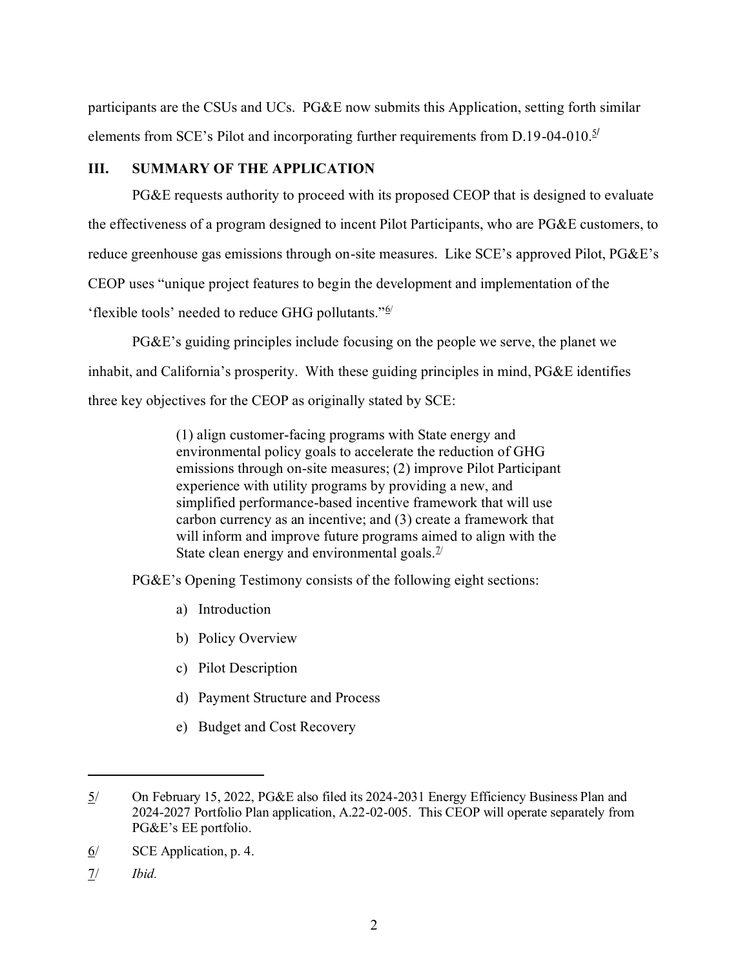participants are the CSUs and UCs. PG&E now submits this Application, setting forth similar elements from SCE's Pilot and incorporating further requirements from D.19-04-010.<sup>5/</sup>

## <span id="page-3-0"></span>**III. SUMMARY OF THE APPLICATION**

PG&E requests authority to proceed with its proposed CEOP that is designed to evaluate the effectiveness of a program designed to incent Pilot Participants, who are PG&E customers, to reduce greenhouse gas emissions through on-site measures. Like SCE's approved Pilot, PG&E's CEOP uses "unique project features to begin the development and implementation of the 'flexible tools' needed to reduce GHG pollutants."<sup>6/</sup>

PG&E's guiding principles include focusing on the people we serve, the planet we inhabit, and California's prosperity. With these guiding principles in mind, PG&E identifies three key objectives for the CEOP as originally stated by SCE:

> (1) align customer-facing programs with State energy and environmental policy goals to accelerate the reduction of GHG emissions through on-site measures; (2) improve Pilot Participant experience with utility programs by providing a new, and simplified performance-based incentive framework that will use carbon currency as an incentive; and (3) create a framework that will inform and improve future programs aimed to align with the State clean energy and environmental goals. $\frac{1}{2}$

PG&E's Opening Testimony consists of the following eight sections:

- a) Introduction
- b) Policy Overview
- c) Pilot Description
- d) Payment Structure and Process
- e) Budget and Cost Recovery

7/ *Ibid.* 

<sup>5/</sup> On February 15, 2022, PG&E also filed its 2024-2031 Energy Efficiency Business Plan and 2024-2027 Portfolio Plan application, A.22-02-005. This CEOP will operate separately from PG&E's EE portfolio.

 $6/$  SCE Application, p. 4.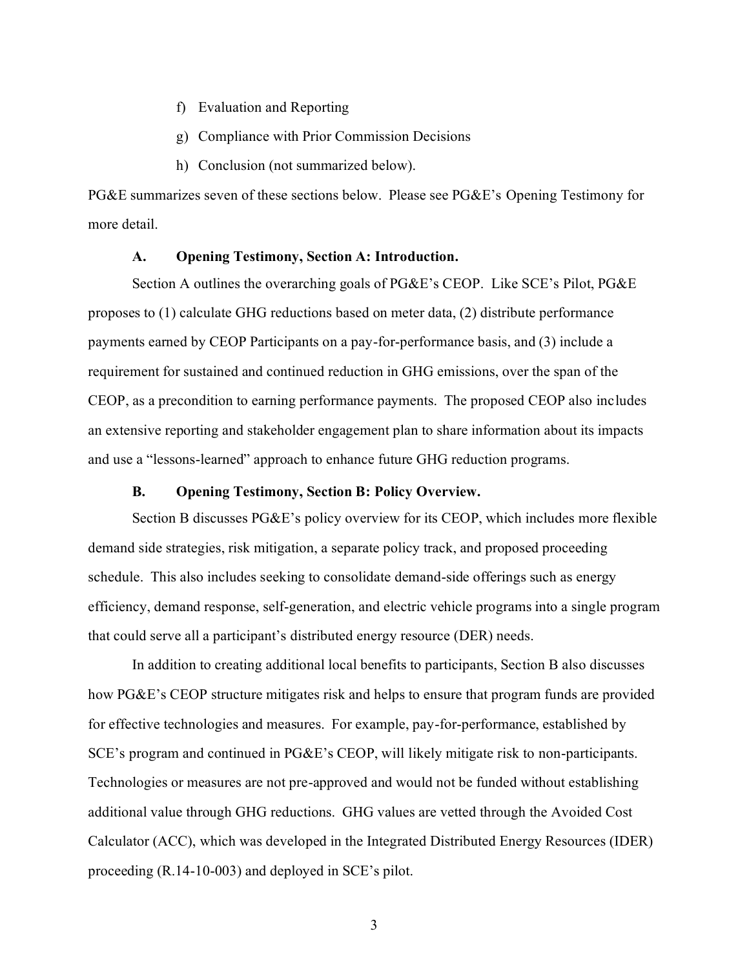- f) Evaluation and Reporting
- g) Compliance with Prior Commission Decisions
- h) Conclusion (not summarized below).

PG&E summarizes seven of these sections below. Please see PG&E's Opening Testimony for more detail.

#### **A. Opening Testimony, Section A: Introduction.**

<span id="page-4-0"></span>Section A outlines the overarching goals of PG&E's CEOP. Like SCE's Pilot, PG&E proposes to (1) calculate GHG reductions based on meter data, (2) distribute performance payments earned by CEOP Participants on a pay-for-performance basis, and (3) include a requirement for sustained and continued reduction in GHG emissions, over the span of the CEOP, as a precondition to earning performance payments. The proposed CEOP also includes an extensive reporting and stakeholder engagement plan to share information about its impacts and use a "lessons-learned" approach to enhance future GHG reduction programs.

## **B. Opening Testimony, Section B: Policy Overview.**

<span id="page-4-1"></span>Section B discusses PG&E's policy overview for its CEOP, which includes more flexible demand side strategies, risk mitigation, a separate policy track, and proposed proceeding schedule. This also includes seeking to consolidate demand-side offerings such as energy efficiency, demand response, self-generation, and electric vehicle programs into a single program that could serve all a participant's distributed energy resource (DER) needs.

In addition to creating additional local benefits to participants, Section B also discusses how PG&E's CEOP structure mitigates risk and helps to ensure that program funds are provided for effective technologies and measures. For example, pay-for-performance, established by SCE's program and continued in PG&E's CEOP, will likely mitigate risk to non-participants. Technologies or measures are not pre-approved and would not be funded without establishing additional value through GHG reductions. GHG values are vetted through the Avoided Cost Calculator (ACC), which was developed in the Integrated Distributed Energy Resources (IDER) proceeding (R.14-10-003) and deployed in SCE's pilot.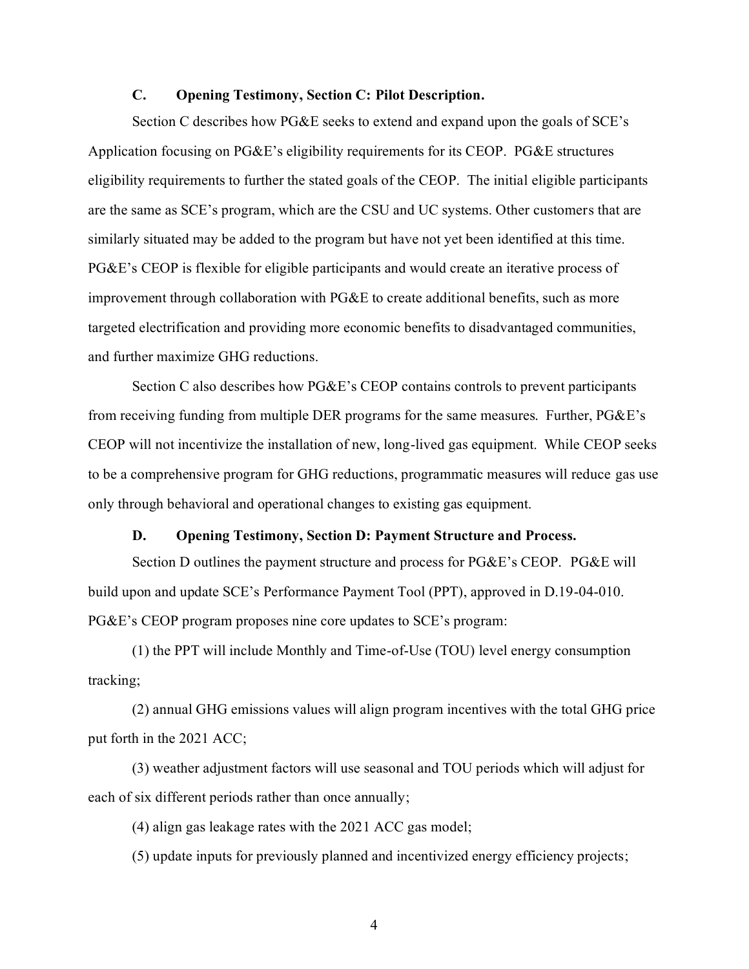#### **C. Opening Testimony, Section C: Pilot Description.**

<span id="page-5-0"></span>Section C describes how PG&E seeks to extend and expand upon the goals of SCE's Application focusing on PG&E's eligibility requirements for its CEOP. PG&E structures eligibility requirements to further the stated goals of the CEOP. The initial eligible participants are the same as SCE's program, which are the CSU and UC systems. Other customers that are similarly situated may be added to the program but have not yet been identified at this time. PG&E's CEOP is flexible for eligible participants and would create an iterative process of improvement through collaboration with PG&E to create additional benefits, such as more targeted electrification and providing more economic benefits to disadvantaged communities, and further maximize GHG reductions.

Section C also describes how PG&E's CEOP contains controls to prevent participants from receiving funding from multiple DER programs for the same measures. Further, PG&E's CEOP will not incentivize the installation of new, long-lived gas equipment. While CEOP seeks to be a comprehensive program for GHG reductions, programmatic measures will reduce gas use only through behavioral and operational changes to existing gas equipment.

#### **D. Opening Testimony, Section D: Payment Structure and Process.**

<span id="page-5-1"></span>Section D outlines the payment structure and process for PG&E's CEOP. PG&E will build upon and update SCE's Performance Payment Tool (PPT), approved in D.19-04-010. PG&E's CEOP program proposes nine core updates to SCE's program:

(1) the PPT will include Monthly and Time-of-Use (TOU) level energy consumption tracking;

(2) annual GHG emissions values will align program incentives with the total GHG price put forth in the 2021 ACC;

(3) weather adjustment factors will use seasonal and TOU periods which will adjust for each of six different periods rather than once annually;

(4) align gas leakage rates with the 2021 ACC gas model;

(5) update inputs for previously planned and incentivized energy efficiency projects;

4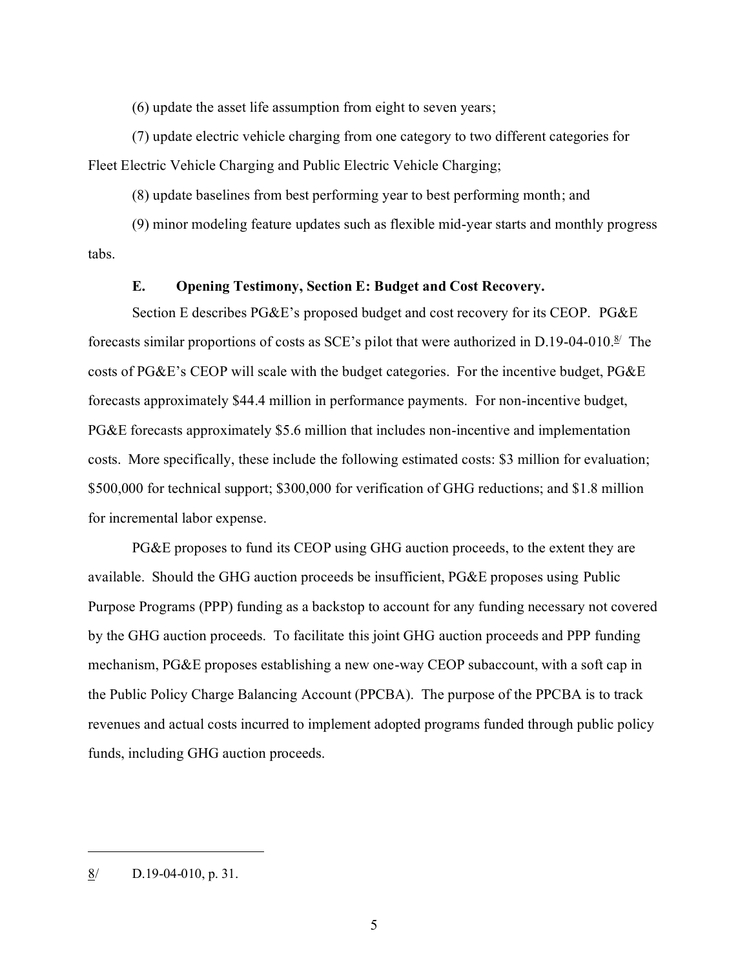(6) update the asset life assumption from eight to seven years;

(7) update electric vehicle charging from one category to two different categories for Fleet Electric Vehicle Charging and Public Electric Vehicle Charging;

(8) update baselines from best performing year to best performing month; and

(9) minor modeling feature updates such as flexible mid-year starts and monthly progress tabs.

#### **E. Opening Testimony, Section E: Budget and Cost Recovery.**

<span id="page-6-0"></span>Section E describes PG&E's proposed budget and cost recovery for its CEOP. PG&E forecasts similar proportions of costs as SCE's pilot that were authorized in D.19-04-010. $\frac{8}{5}$  The costs of PG&E's CEOP will scale with the budget categories. For the incentive budget, PG&E forecasts approximately \$44.4 million in performance payments. For non-incentive budget, PG&E forecasts approximately \$5.6 million that includes non-incentive and implementation costs. More specifically, these include the following estimated costs: \$3 million for evaluation; \$500,000 for technical support; \$300,000 for verification of GHG reductions; and \$1.8 million for incremental labor expense.

PG&E proposes to fund its CEOP using GHG auction proceeds, to the extent they are available. Should the GHG auction proceeds be insufficient, PG&E proposes using Public Purpose Programs (PPP) funding as a backstop to account for any funding necessary not covered by the GHG auction proceeds. To facilitate this joint GHG auction proceeds and PPP funding mechanism, PG&E proposes establishing a new one-way CEOP subaccount, with a soft cap in the Public Policy Charge Balancing Account (PPCBA). The purpose of the PPCBA is to track revenues and actual costs incurred to implement adopted programs funded through public policy funds, including GHG auction proceeds.

 $\frac{8}{10}$  D.19-04-010, p. 31.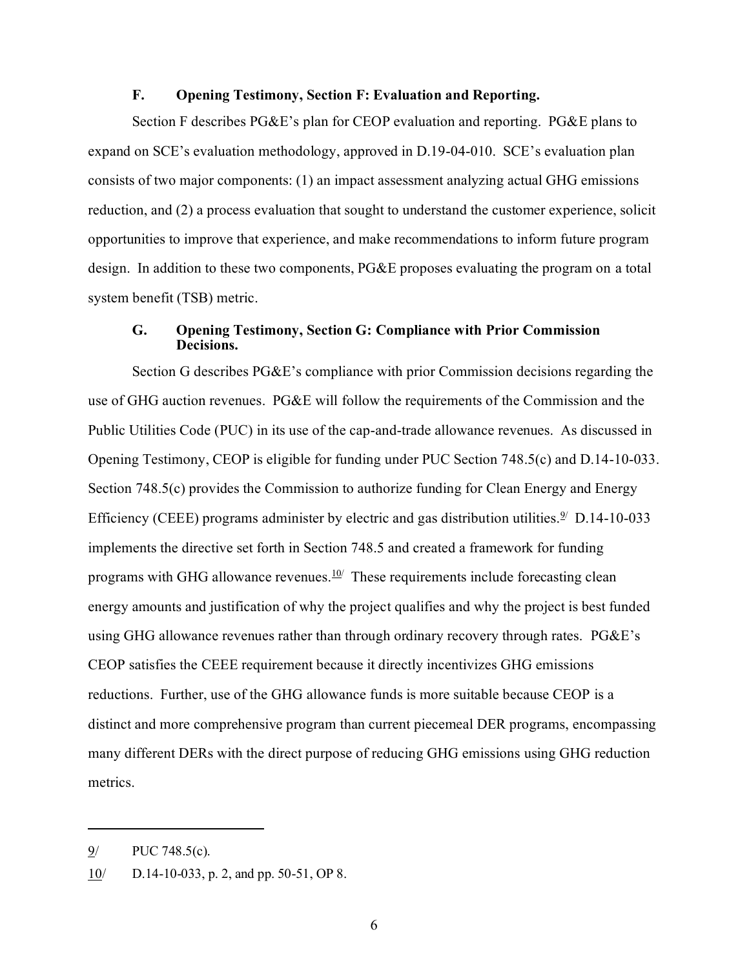#### **F. Opening Testimony, Section F: Evaluation and Reporting.**

<span id="page-7-0"></span>Section F describes PG&E's plan for CEOP evaluation and reporting. PG&E plans to expand on SCE's evaluation methodology, approved in D.19-04-010. SCE's evaluation plan consists of two major components: (1) an impact assessment analyzing actual GHG emissions reduction, and (2) a process evaluation that sought to understand the customer experience, solicit opportunities to improve that experience, and make recommendations to inform future program design. In addition to these two components, PG&E proposes evaluating the program on a total system benefit (TSB) metric.

#### <span id="page-7-1"></span>**G. Opening Testimony, Section G: Compliance with Prior Commission Decisions.**

Section G describes PG&E's compliance with prior Commission decisions regarding the use of GHG auction revenues. PG&E will follow the requirements of the Commission and the Public Utilities Code (PUC) in its use of the cap-and-trade allowance revenues. As discussed in Opening Testimony, CEOP is eligible for funding under PUC Section 748.5(c) and D.14-10-033. Section 748.5(c) provides the Commission to authorize funding for Clean Energy and Energy Efficiency (CEEE) programs administer by electric and gas distribution utilities.<sup>2/</sup> D.14-10-033 implements the directive set forth in Section 748.5 and created a framework for funding programs with GHG allowance revenues. $10/2$  These requirements include forecasting clean energy amounts and justification of why the project qualifies and why the project is best funded using GHG allowance revenues rather than through ordinary recovery through rates. PG&E's CEOP satisfies the CEEE requirement because it directly incentivizes GHG emissions reductions. Further, use of the GHG allowance funds is more suitable because CEOP is a distinct and more comprehensive program than current piecemeal DER programs, encompassing many different DERs with the direct purpose of reducing GHG emissions using GHG reduction metrics.

<sup>9/</sup> PUC 748.5(c).

 $10$  D.14-10-033, p. 2, and pp. 50-51, OP 8.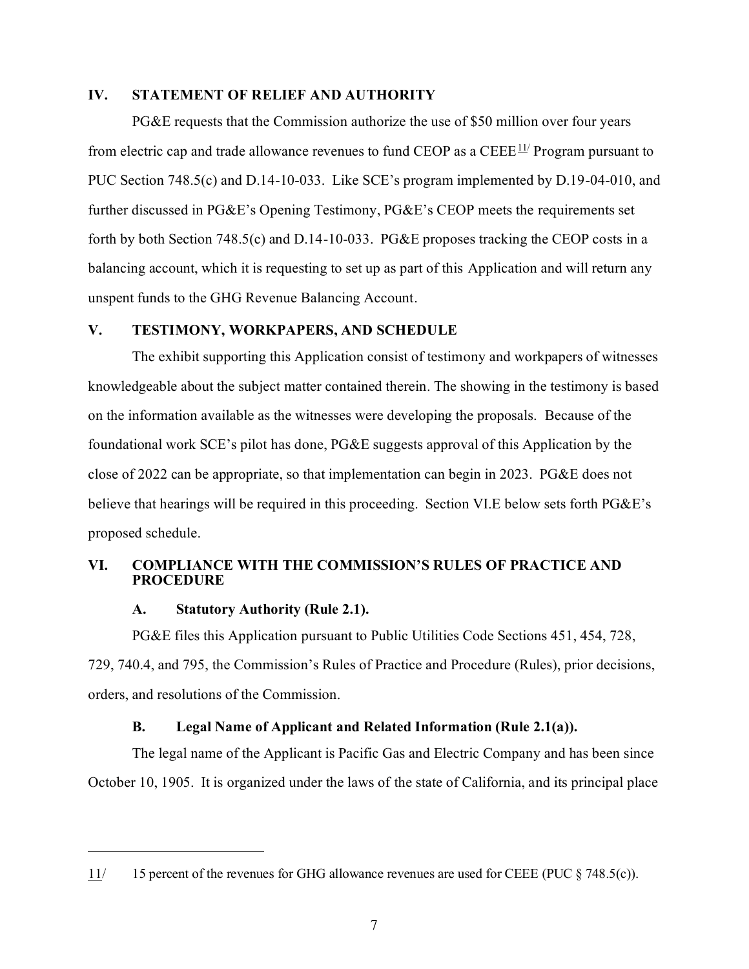#### <span id="page-8-0"></span>**IV. STATEMENT OF RELIEF AND AUTHORITY**

PG&E requests that the Commission authorize the use of \$50 million over four years from electric cap and trade allowance revenues to fund CEOP as a  $\text{CEEE}^{11}$  Program pursuant to PUC Section 748.5(c) and D.14-10-033. Like SCE's program implemented by D.19-04-010, and further discussed in PG&E's Opening Testimony, PG&E's CEOP meets the requirements set forth by both Section 748.5(c) and D.14-10-033. PG&E proposes tracking the CEOP costs in a balancing account, which it is requesting to set up as part of this Application and will return any unspent funds to the GHG Revenue Balancing Account.

## <span id="page-8-1"></span>**V. TESTIMONY, WORKPAPERS, AND SCHEDULE**

The exhibit supporting this Application consist of testimony and workpapers of witnesses knowledgeable about the subject matter contained therein. The showing in the testimony is based on the information available as the witnesses were developing the proposals. Because of the foundational work SCE's pilot has done, PG&E suggests approval of this Application by the close of 2022 can be appropriate, so that implementation can begin in 2023. PG&E does not believe that hearings will be required in this proceeding. Section VI.E below sets forth PG&E's proposed schedule.

## <span id="page-8-3"></span><span id="page-8-2"></span>**VI. COMPLIANCE WITH THE COMMISSION'S RULES OF PRACTICE AND PROCEDURE**

#### **A. Statutory Authority (Rule 2.1).**

PG&E files this Application pursuant to Public Utilities Code Sections 451, 454, 728, 729, 740.4, and 795, the Commission's Rules of Practice and Procedure (Rules), prior decisions, orders, and resolutions of the Commission.

## **B. Legal Name of Applicant and Related Information (Rule 2.1(a)).**

<span id="page-8-4"></span>The legal name of the Applicant is Pacific Gas and Electric Company and has been since October 10, 1905. It is organized under the laws of the state of California, and its principal place

<sup>11/</sup> 15 percent of the revenues for GHG allowance revenues are used for CEEE (PUC § 748.5(c)).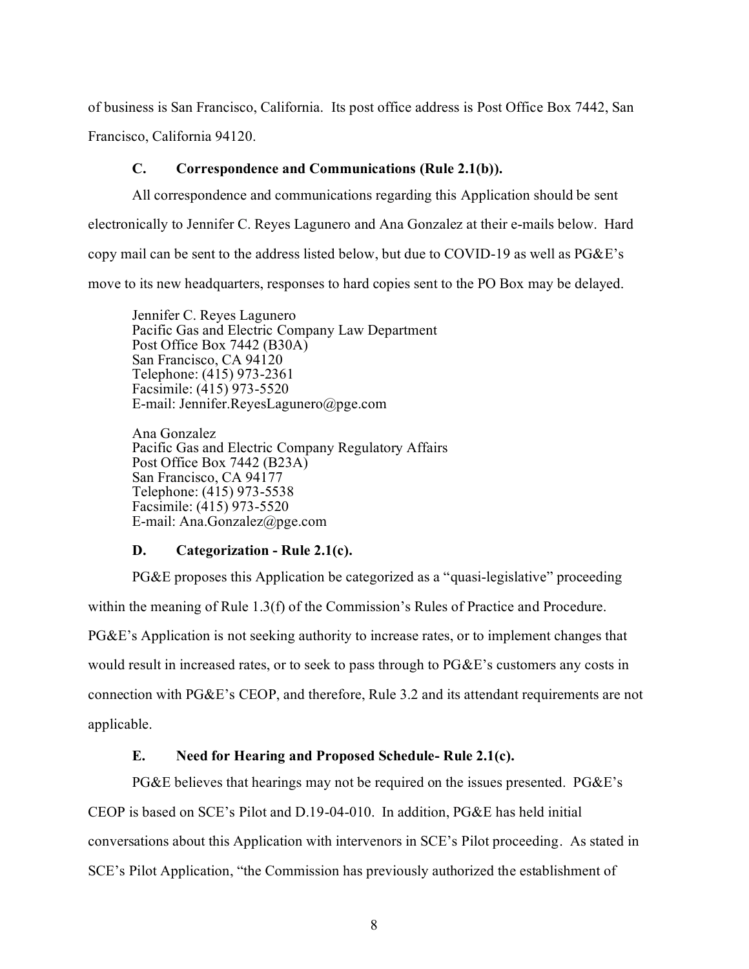of business is San Francisco, California. Its post office address is Post Office Box 7442, San Francisco, California 94120.

## **C. Correspondence and Communications (Rule 2.1(b)).**

<span id="page-9-0"></span>All correspondence and communications regarding this Application should be sent electronically to Jennifer C. Reyes Lagunero and Ana Gonzalez at their e-mails below. Hard copy mail can be sent to the address listed below, but due to COVID-19 as well as PG&E's move to its new headquarters, responses to hard copies sent to the PO Box may be delayed.

Jennifer C. Reyes Lagunero Pacific Gas and Electric Company Law Department Post Office Box 7442 (B30A) San Francisco, CA 94120 Telephone: (415) 973-2361 Facsimile: (415) 973-5520 E-mail: Jennifer.ReyesLagunero@pge.com

Ana Gonzalez Pacific Gas and Electric Company Regulatory Affairs Post Office Box 7442 (B23A) San Francisco, CA 94177 Telephone: (415) 973-5538 Facsimile: (415) 973-5520 E-mail: Ana.Gonzalez@pge.com

#### **D. Categorization - Rule 2.1(c).**

<span id="page-9-1"></span>PG&E proposes this Application be categorized as a "quasi-legislative" proceeding within the meaning of Rule 1.3(f) of the Commission's Rules of Practice and Procedure. PG&E's Application is not seeking authority to increase rates, or to implement changes that would result in increased rates, or to seek to pass through to PG&E's customers any costs in connection with PG&E's CEOP, and therefore, Rule 3.2 and its attendant requirements are not applicable.

## **E. Need for Hearing and Proposed Schedule- Rule 2.1(c).**

<span id="page-9-2"></span>PG&E believes that hearings may not be required on the issues presented. PG&E's CEOP is based on SCE's Pilot and D.19-04-010. In addition, PG&E has held initial conversations about this Application with intervenors in SCE's Pilot proceeding. As stated in SCE's Pilot Application, "the Commission has previously authorized the establishment of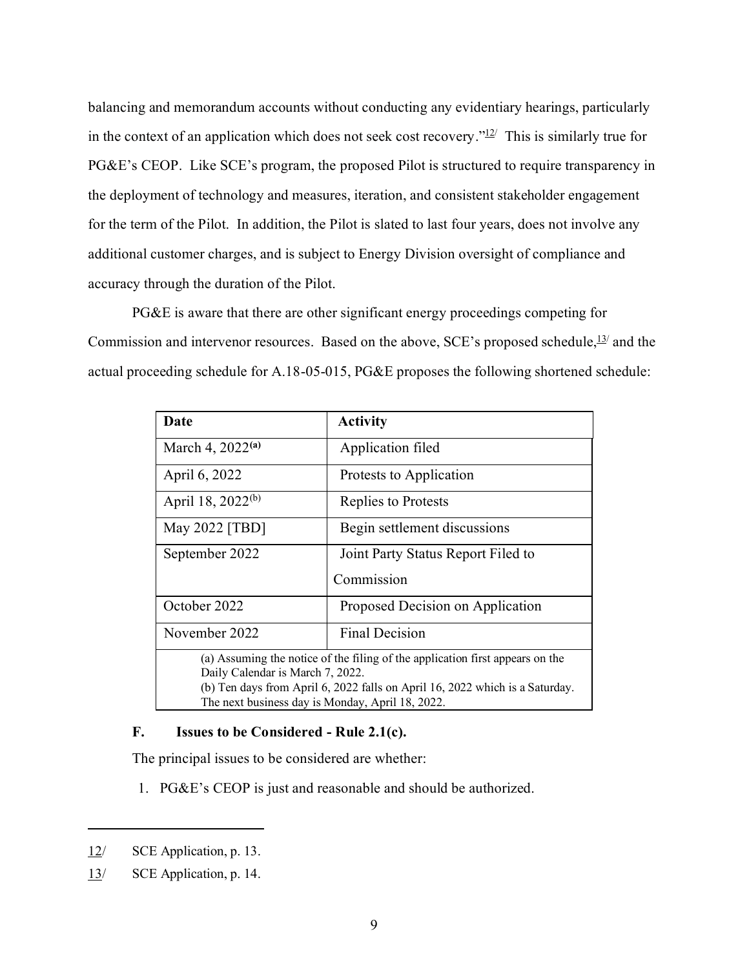balancing and memorandum accounts without conducting any evidentiary hearings, particularly in the context of an application which does not seek cost recovery." $12$  This is similarly true for PG&E's CEOP. Like SCE's program, the proposed Pilot is structured to require transparency in the deployment of technology and measures, iteration, and consistent stakeholder engagement for the term of the Pilot. In addition, the Pilot is slated to last four years, does not involve any additional customer charges, and is subject to Energy Division oversight of compliance and accuracy through the duration of the Pilot.

PG&E is aware that there are other significant energy proceedings competing for Commission and intervenor resources. Based on the above,  $SCE$ 's proposed schedule,  $\frac{13}{2}$  and the actual proceeding schedule for A.18-05-015, PG&E proposes the following shortened schedule:

| Date                                                                          | <b>Activity</b>                    |  |  |  |
|-------------------------------------------------------------------------------|------------------------------------|--|--|--|
| March 4, $2022^{(a)}$                                                         | Application filed                  |  |  |  |
| April 6, 2022                                                                 | Protests to Application            |  |  |  |
| April 18, 2022 <sup>(b)</sup>                                                 | Replies to Protests                |  |  |  |
| May 2022 [TBD]                                                                | Begin settlement discussions       |  |  |  |
| September 2022                                                                | Joint Party Status Report Filed to |  |  |  |
| Commission                                                                    |                                    |  |  |  |
| October 2022                                                                  | Proposed Decision on Application   |  |  |  |
| November 2022                                                                 | Final Decision                     |  |  |  |
| (a) Assuming the notice of the filing of the application first appears on the |                                    |  |  |  |
| Daily Calendar is March 7, 2022.                                              |                                    |  |  |  |
| (b) Ten days from April 6, 2022 falls on April 16, 2022 which is a Saturday.  |                                    |  |  |  |
| The next business day is Monday, April 18, 2022.                              |                                    |  |  |  |

## <span id="page-10-0"></span>**F. Issues to be Considered - Rule 2.1(c).**

The principal issues to be considered are whether:

1. PG&E's CEOP is just and reasonable and should be authorized.

<sup>12/</sup> SCE Application, p. 13.

<sup>13/</sup> SCE Application, p. 14.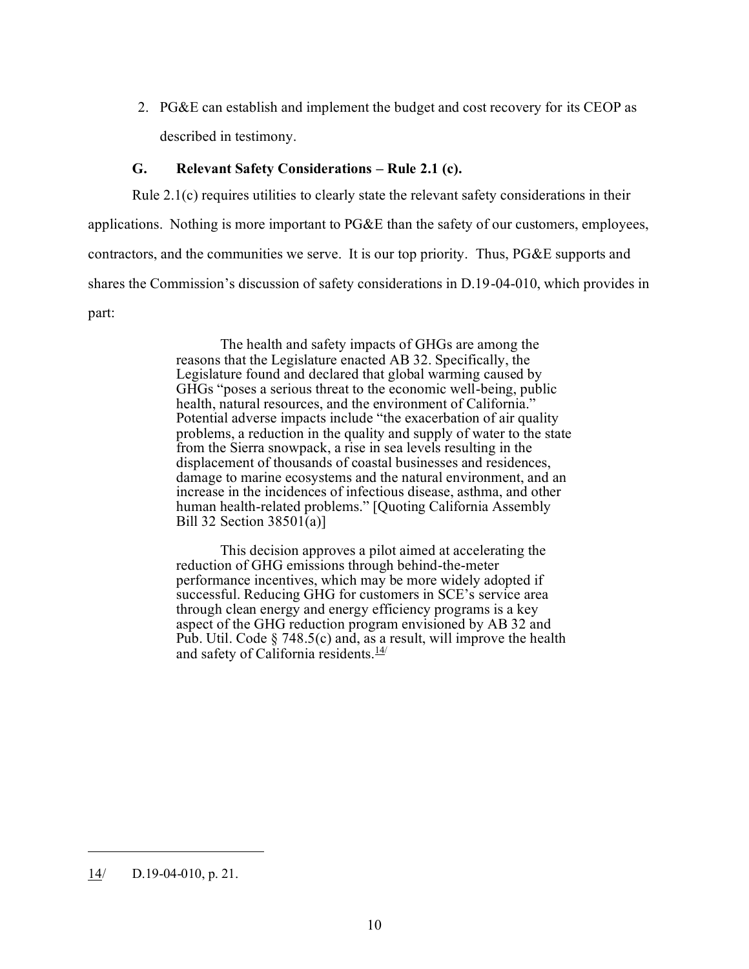2. PG&E can establish and implement the budget and cost recovery for its CEOP as described in testimony.

## **G. Relevant Safety Considerations – Rule 2.1 (c).**

<span id="page-11-0"></span>Rule 2.1(c) requires utilities to clearly state the relevant safety considerations in their applications. Nothing is more important to PG&E than the safety of our customers, employees, contractors, and the communities we serve. It is our top priority. Thus, PG&E supports and shares the Commission's discussion of safety considerations in D.19-04-010, which provides in part:

> The health and safety impacts of GHGs are among the reasons that the Legislature enacted AB 32. Specifically, the Legislature found and declared that global warming caused by GHGs "poses a serious threat to the economic well-being, public health, natural resources, and the environment of California." Potential adverse impacts include "the exacerbation of air quality problems, a reduction in the quality and supply of water to the state from the Sierra snowpack, a rise in sea levels resulting in the displacement of thousands of coastal businesses and residences, damage to marine ecosystems and the natural environment, and an increase in the incidences of infectious disease, asthma, and other human health-related problems." [Quoting California Assembly Bill 32 Section 38501(a)]

This decision approves a pilot aimed at accelerating the reduction of GHG emissions through behind-the-meter performance incentives, which may be more widely adopted if successful. Reducing GHG for customers in SCE's service area through clean energy and energy efficiency programs is a key aspect of the GHG reduction program envisioned by AB 32 and Pub. Util. Code § 748.5(c) and, as a result, will improve the health and safety of California residents. $\frac{14}{1}$ 

 $14$  D.19-04-010, p. 21.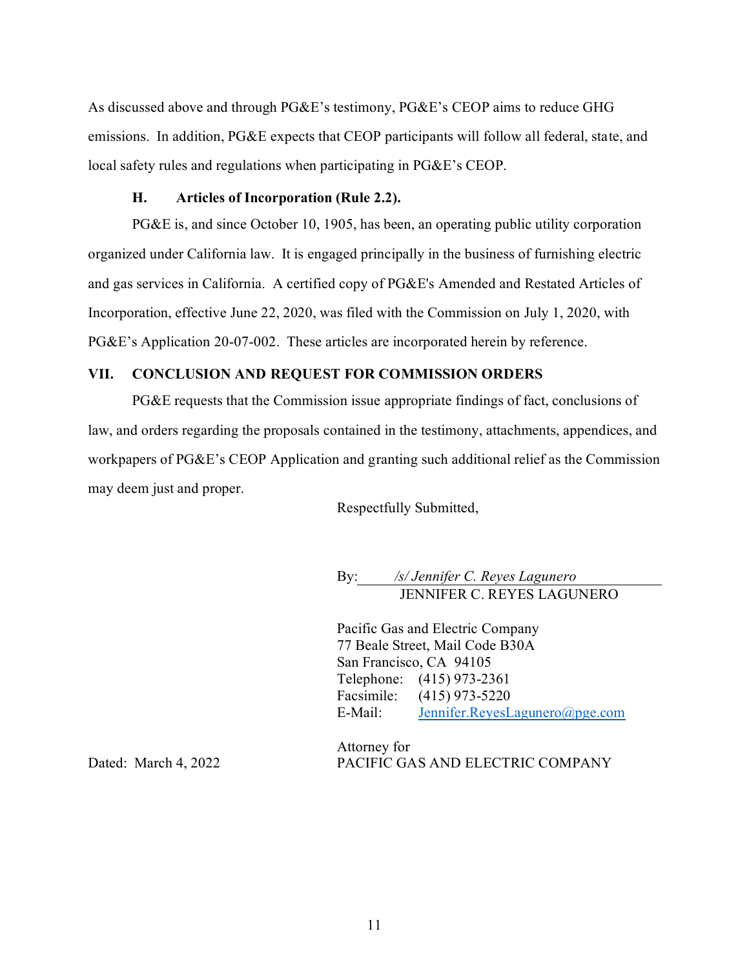As discussed above and through PG&E's testimony, PG&E's CEOP aims to reduce GHG emissions. In addition, PG&E expects that CEOP participants will follow all federal, state, and local safety rules and regulations when participating in PG&E's CEOP.

#### **H. Articles of Incorporation (Rule 2.2).**

<span id="page-12-0"></span>PG&E is, and since October 10, 1905, has been, an operating public utility corporation organized under California law. It is engaged principally in the business of furnishing electric and gas services in California. A certified copy of PG&E's Amended and Restated Articles of Incorporation, effective June 22, 2020, was filed with the Commission on July 1, 2020, with PG&E's Application 20-07-002. These articles are incorporated herein by reference.

## <span id="page-12-1"></span>**VII. CONCLUSION AND REQUEST FOR COMMISSION ORDERS**

PG&E requests that the Commission issue appropriate findings of fact, conclusions of law, and orders regarding the proposals contained in the testimony, attachments, appendices, and workpapers of PG&E's CEOP Application and granting such additional relief as the Commission may deem just and proper.

Respectfully Submitted,

By: */s/ Jennifer C. Reyes Lagunero* JENNIFER C. REYES LAGUNERO

Pacific Gas and Electric Company 77 Beale Street, Mail Code B30A San Francisco, CA 94105 Telephone: (415) 973-2361 Facsimile: (415) 973-5220 E-Mail: [Jennifer.ReyesLagunero@pge.com](mailto:Jennifer.ReyesLagunero@pge.com)

Attorney for PACIFIC GAS AND ELECTRIC COMPANY

Dated: March 4, 2022